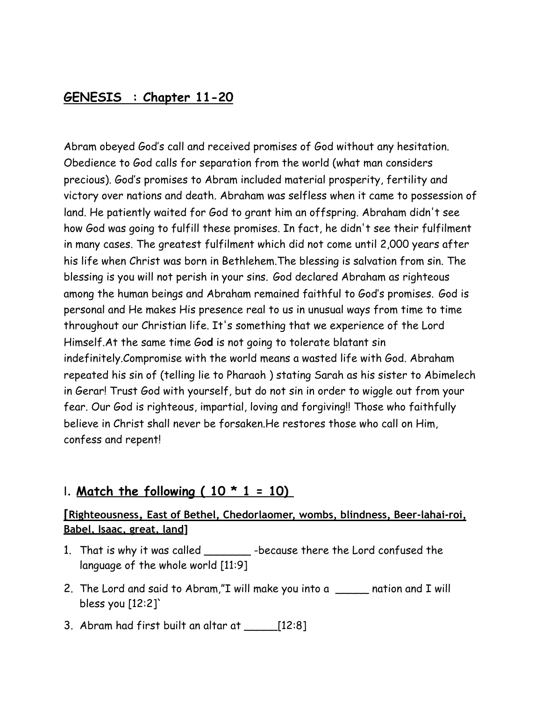### **GENESIS : Chapter 11-20**

Abram obeyed God's call and received promises of God without any hesitation. Obedience to God calls for separation from the world (what man considers precious). God's promises to Abram included material prosperity, fertility and victory over nations and death. Abraham was selfless when it came to possession of land. He patiently waited for God to grant him an offspring. Abraham didn't see how God was going to fulfill these promises. In fact, he didn't see their fulfilment in many cases. The greatest fulfilment which did not come until 2,000 years after his life when Christ was born in Bethlehem.The blessing is salvation from sin. The blessing is you will not perish in your sins. God declared Abraham as righteous among the human beings and Abraham remained faithful to God's promises. God is personal and He makes His presence real to us in unusual ways from time to time throughout our Christian life. It's something that we experience of the Lord Himself.At the same time Go**d** is not going to tolerate blatant sin indefinitely.Compromise with the world means a wasted life with God. Abraham repeated his sin of (telling lie to Pharaoh ) stating Sarah as his sister to Abimelech in Gerar! Trust God with yourself, but do not sin in order to wiggle out from your fear. Our God is righteous, impartial, loving and forgiving!! Those who faithfully believe in Christ shall never be forsaken.He restores those who call on Him, confess and repent!

#### I. **Match the following ( 10 \* 1 = 10)**

#### **[Righteousness, East of Bethel, Chedorlaomer, wombs, blindness, Beer-lahai-roi, Babel, Isaac, great, land]**

- 1. That is why it was called \_\_\_\_\_\_\_ -because there the Lord confused the language of the whole world [11:9]
- 2. The Lord and said to Abram,"I will make you into a \_\_\_\_\_ nation and I will bless you  $[12:2]$
- 3. Abram had first built an altar at \_\_\_\_\_[12:8]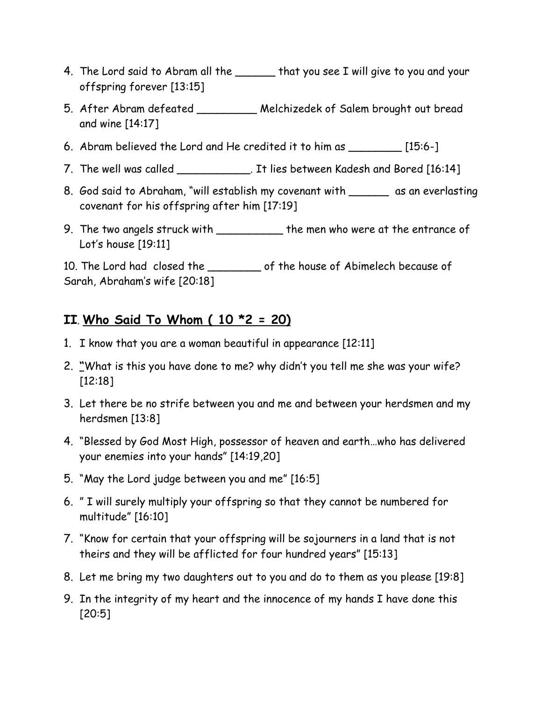- 4. The Lord said to Abram all the **that you see I will give to you and your** offspring forever [13:15]
- 5. After Abram defeated \_\_\_\_\_\_\_\_\_ Melchizedek of Salem brought out bread and wine [14:17]
- 6. Abram believed the Lord and He credited it to him as \_\_\_\_\_\_\_\_ [15:6-]
- 7. The well was called \_\_\_\_\_\_\_\_\_\_\_\_. It lies between Kadesh and Bored [16:14]
- 8. God said to Abraham, "will establish my covenant with \_\_\_\_\_\_ as an everlasting covenant for his offspring after him [17:19]
- 9. The two angels struck with \_\_\_\_\_\_\_\_\_\_\_\_ the men who were at the entrance of Lot's house [19:11]

10. The Lord had closed the \_\_\_\_\_\_\_\_\_ of the house of Abimelech because of Sarah, Abraham's wife [20:18]

## **II**. **Who Said To Whom ( 10 \*2 = 20)**

- 1. I know that you are a woman beautiful in appearance [12:11]
- 2. **"**What is this you have done to me? why didn't you tell me she was your wife? [12:18]
- 3. Let there be no strife between you and me and between your herdsmen and my herdsmen [13:8]
- 4. "Blessed by God Most High, possessor of heaven and earth…who has delivered your enemies into your hands" [14:19,20]
- 5. "May the Lord judge between you and me" [16:5]
- 6. " I will surely multiply your offspring so that they cannot be numbered for multitude" [16:10]
- 7. "Know for certain that your offspring will be sojourners in a land that is not theirs and they will be afflicted for four hundred years" [15:13]
- 8. Let me bring my two daughters out to you and do to them as you please [19:8]
- 9. In the integrity of my heart and the innocence of my hands I have done this [20:5]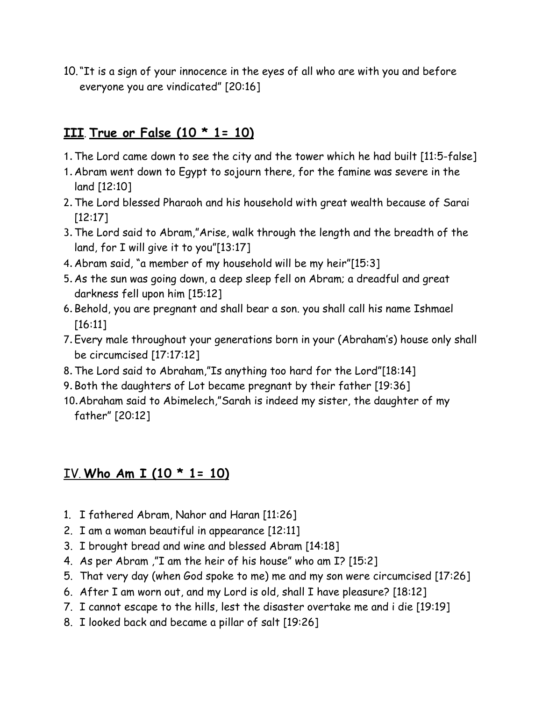10."It is a sign of your innocence in the eyes of all who are with you and before everyone you are vindicated" [20:16]

## **III**. **True or False (10 \* 1= 10)**

- 1.The Lord came down to see the city and the tower which he had built [11:5-false]
- 1.Abram went down to Egypt to sojourn there, for the famine was severe in the land [12:10]
- 2.The Lord blessed Pharaoh and his household with great wealth because of Sarai [12:17]
- 3.The Lord said to Abram,"Arise, walk through the length and the breadth of the land, for I will give it to you"[13:17]
- 4.Abram said, "a member of my household will be my heir"[15:3]
- 5.As the sun was going down, a deep sleep fell on Abram; a dreadful and great darkness fell upon him [15:12]
- 6.Behold, you are pregnant and shall bear a son. you shall call his name Ishmael [16:11]
- 7.Every male throughout your generations born in your (Abraham's) house only shall be circumcised [17:17:12]
- 8.The Lord said to Abraham,"Is anything too hard for the Lord"[18:14]
- 9.Both the daughters of Lot became pregnant by their father [19:36]
- 10.Abraham said to Abimelech,"Sarah is indeed my sister, the daughter of my father" [20:12]

## IV. **Who Am I (10 \* 1= 10)**

- 1. I fathered Abram, Nahor and Haran [11:26]
- 2. I am a woman beautiful in appearance [12:11]
- 3. I brought bread and wine and blessed Abram [14:18]
- 4. As per Abram ,"I am the heir of his house" who am I? [15:2]
- 5. That very day (when God spoke to me) me and my son were circumcised [17:26]
- 6. After I am worn out, and my Lord is old, shall I have pleasure? [18:12]
- 7. I cannot escape to the hills, lest the disaster overtake me and i die [19:19]
- 8. I looked back and became a pillar of salt [19:26]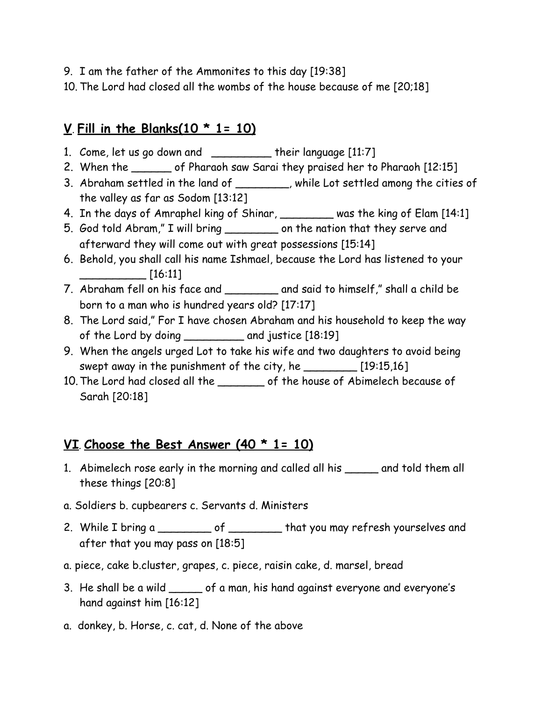- 9. I am the father of the Ammonites to this day [19:38]
- 10. The Lord had closed all the wombs of the house because of me [20;18]

# **V**. **Fill in the Blanks(10 \* 1= 10)**

- 1. Come, let us go down and \_\_\_\_\_\_\_\_\_ their language [11:7]
- 2. When the \_\_\_\_\_\_\_ of Pharaoh saw Sarai they praised her to Pharaoh [12:15]
- 3. Abraham settled in the land of \_\_\_\_\_\_\_\_, while Lot settled among the cities of the valley as far as Sodom [13:12]
- 4. In the days of Amraphel king of Shinar, \_\_\_\_\_\_\_\_ was the king of Elam [14:1]
- 5. God told Abram," I will bring \_\_\_\_\_\_\_\_ on the nation that they serve and afterward they will come out with great possessions [15:14]
- 6. Behold, you shall call his name Ishmael, because the Lord has listened to your \_\_\_\_\_\_\_\_\_\_ [16:11]
- 7. Abraham fell on his face and \_\_\_\_\_\_\_\_ and said to himself," shall a child be born to a man who is hundred years old? [17:17]
- 8. The Lord said," For I have chosen Abraham and his household to keep the way of the Lord by doing \_\_\_\_\_\_\_\_\_ and justice [18:19]
- 9. When the angels urged Lot to take his wife and two daughters to avoid being swept away in the punishment of the city, he \_\_\_\_\_\_\_\_ [19:15,16]
- 10.The Lord had closed all the \_\_\_\_\_\_\_ of the house of Abimelech because of Sarah [20:18]

# **VI**. **Choose the Best Answer (40 \* 1= 10)**

- 1. Abimelech rose early in the morning and called all his \_\_\_\_\_ and told them all these things [20:8]
- a. Soldiers b. cupbearers c. Servants d. Ministers
- 2. While I bring a \_\_\_\_\_\_\_\_ of \_\_\_\_\_\_\_ that you may refresh yourselves and after that you may pass on [18:5]
- a. piece, cake b.cluster, grapes, c. piece, raisin cake, d. marsel, bread
- 3. He shall be a wild \_\_\_\_\_ of a man, his hand against everyone and everyone's hand against him [16:12]
- a. donkey, b. Horse, c. cat, d. None of the above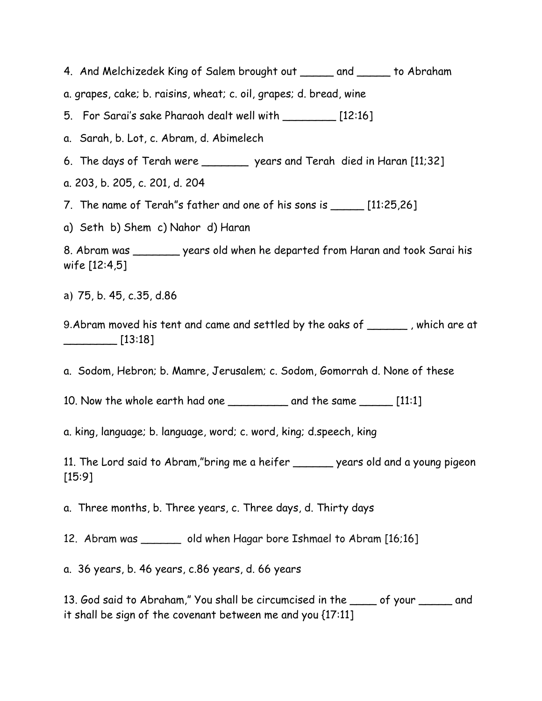4. And Melchizedek King of Salem brought out \_\_\_\_\_ and \_\_\_\_\_ to Abraham

a. grapes, cake; b. raisins, wheat; c. oil, grapes; d. bread, wine

5. For Sarai's sake Pharaoh dealt well with \_\_\_\_\_\_\_\_ [12:16]

a. Sarah, b. Lot, c. Abram, d. Abimelech

6. The days of Terah were \_\_\_\_\_\_\_ years and Terah died in Haran [11;32]

a. 203, b. 205, c. 201, d. 204

7. The name of Terah"s father and one of his sons is \_\_\_\_\_ [11:25,26]

a) Seth b) Shem c) Nahor d) Haran

8. Abram was \_\_\_\_\_\_\_ years old when he departed from Haran and took Sarai his wife [12:4,5]

a) 75, b. 45, c.35, d.86

9.Abram moved his tent and came and settled by the oaks of \_\_\_\_\_\_ , which are at \_\_\_\_\_\_\_\_ [13:18]

a. Sodom, Hebron; b. Mamre, Jerusalem; c. Sodom, Gomorrah d. None of these

10. Now the whole earth had one \_\_\_\_\_\_\_\_\_\_\_ and the same \_\_\_\_\_\_ [11:1]

a. king, language; b. language, word; c. word, king; d.speech, king

11. The Lord said to Abram,"bring me a heifer \_\_\_\_\_\_ years old and a young pigeon [15:9]

a. Three months, b. Three years, c. Three days, d. Thirty days

12. Abram was \_\_\_\_\_\_ old when Hagar bore Ishmael to Abram [16;16]

a. 36 years, b. 46 years, c.86 years, d. 66 years

13. God said to Abraham," You shall be circumcised in the \_\_\_\_ of your \_\_\_\_\_ and it shall be sign of the covenant between me and you {17:11]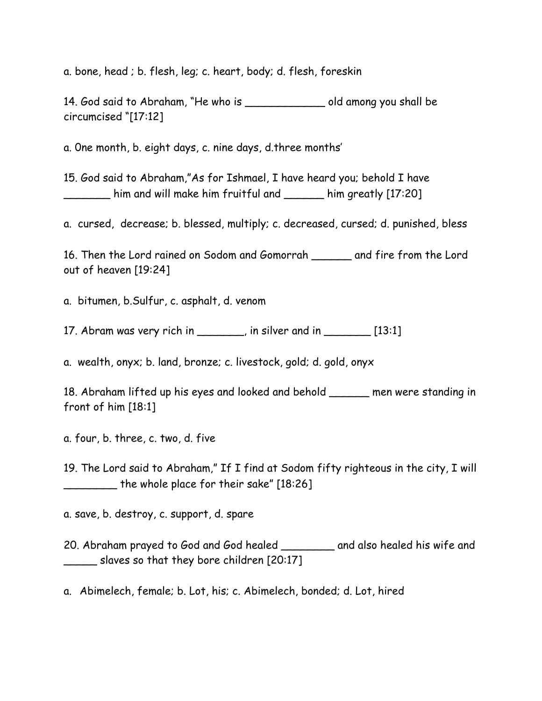a. bone, head ; b. flesh, leg; c. heart, body; d. flesh, foreskin

14. God said to Abraham, "He who is \_\_\_\_\_\_\_\_\_\_\_\_ old among you shall be circumcised "[17:12]

a. 0ne month, b. eight days, c. nine days, d.three months'

15. God said to Abraham,"As for Ishmael, I have heard you; behold I have \_\_\_\_\_\_\_ him and will make him fruitful and \_\_\_\_\_\_ him greatly [17:20]

a. cursed, decrease; b. blessed, multiply; c. decreased, cursed; d. punished, bless

16. Then the Lord rained on Sodom and Gomorrah \_\_\_\_\_\_ and fire from the Lord out of heaven [19:24]

a. bitumen, b.Sulfur, c. asphalt, d. venom

17. Abram was very rich in \_\_\_\_\_\_, in silver and in  $\frac{1}{2}$  [13:1]

a. wealth, onyx; b. land, bronze; c. livestock, gold; d. gold, onyx

18. Abraham lifted up his eyes and looked and behold \_\_\_\_\_\_ men were standing in front of him [18:1]

a. four, b. three, c. two, d. five

19. The Lord said to Abraham," If I find at Sodom fifty righteous in the city, I will \_\_\_\_\_\_\_\_ the whole place for their sake" [18:26]

a. save, b. destroy, c. support, d. spare

20. Abraham prayed to God and God healed \_\_\_\_\_\_\_\_ and also healed his wife and slaves so that they bore children [20:17]

a. Abimelech, female; b. Lot, his; c. Abimelech, bonded; d. Lot, hired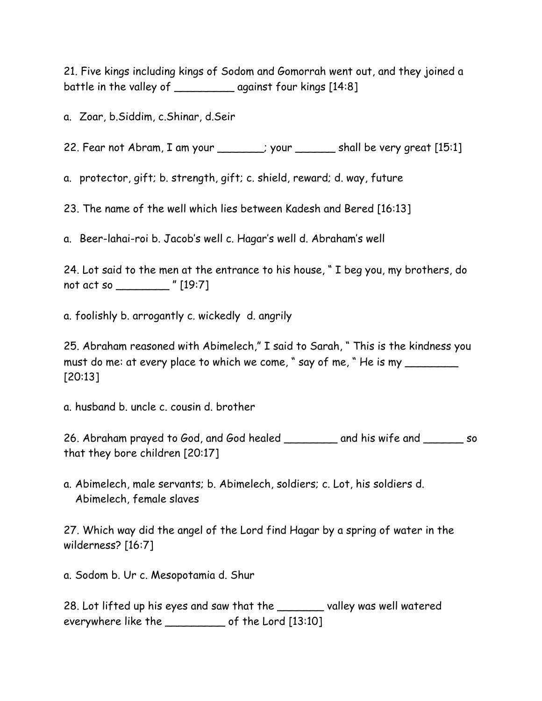21. Five kings including kings of Sodom and Gomorrah went out, and they joined a battle in the valley of \_\_\_\_\_\_\_\_\_ against four kings [14:8]

a. Zoar, b.Siddim, c.Shinar, d.Seir

22. Fear not Abram, I am your \_\_\_\_\_\_; your \_\_\_\_\_\_\_ shall be very great [15:1]

a. protector, gift; b. strength, gift; c. shield, reward; d. way, future

23. The name of the well which lies between Kadesh and Bered [16:13]

a. Beer-lahai-roi b. Jacob's well c. Hagar's well d. Abraham's well

24. Lot said to the men at the entrance to his house, " I beg you, my brothers, do not act so \_\_\_\_\_\_\_\_ " [19:7]

a. foolishly b. arrogantly c. wickedly d. angrily

25. Abraham reasoned with Abimelech," I said to Sarah, " This is the kindness you must do me: at every place to which we come, " say of me, " He is my \_\_\_\_\_\_\_\_\_\_ [20:13]

a. husband b. uncle c. cousin d. brother

26. Abraham prayed to God, and God healed \_\_\_\_\_\_\_ and his wife and \_\_\_\_\_\_ so that they bore children [20:17]

a. Abimelech, male servants; b. Abimelech, soldiers; c. Lot, his soldiers d. Abimelech, female slaves

27. Which way did the angel of the Lord find Hagar by a spring of water in the wilderness? [16:7]

a. Sodom b. Ur c. Mesopotamia d. Shur

28. Lot lifted up his eyes and saw that the \_\_\_\_\_\_\_ valley was well watered everywhere like the \_\_\_\_\_\_\_\_\_ of the Lord [13:10]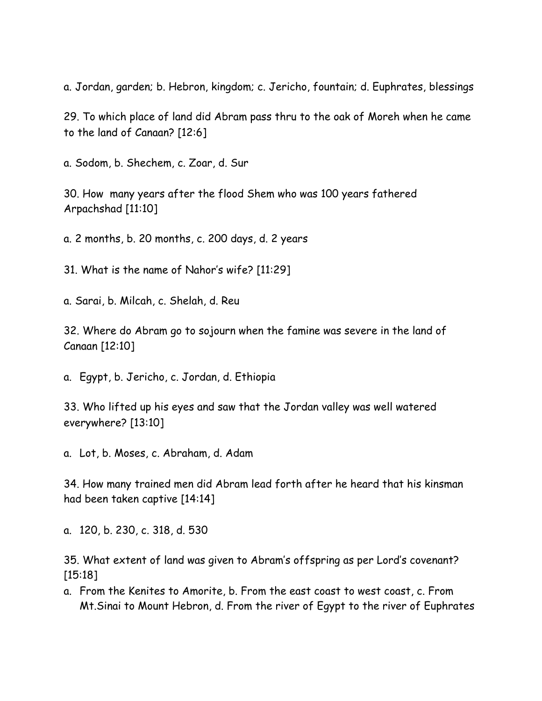a. Jordan, garden; b. Hebron, kingdom; c. Jericho, fountain; d. Euphrates, blessings

29. To which place of land did Abram pass thru to the oak of Moreh when he came to the land of Canaan? [12:6]

a. Sodom, b. Shechem, c. Zoar, d. Sur

30. How many years after the flood Shem who was 100 years fathered Arpachshad [11:10]

a. 2 months, b. 20 months, c. 200 days, d. 2 years

31. What is the name of Nahor's wife? [11:29]

a. Sarai, b. Milcah, c. Shelah, d. Reu

32. Where do Abram go to sojourn when the famine was severe in the land of Canaan [12:10]

a. Egypt, b. Jericho, c. Jordan, d. Ethiopia

33. Who lifted up his eyes and saw that the Jordan valley was well watered everywhere? [13:10]

a. Lot, b. Moses, c. Abraham, d. Adam

34. How many trained men did Abram lead forth after he heard that his kinsman had been taken captive [14:14]

a. 120, b. 230, c. 318, d. 530

35. What extent of land was given to Abram's offspring as per Lord's covenant? [15:18]

a. From the Kenites to Amorite, b. From the east coast to west coast, c. From Mt.Sinai to Mount Hebron, d. From the river of Egypt to the river of Euphrates